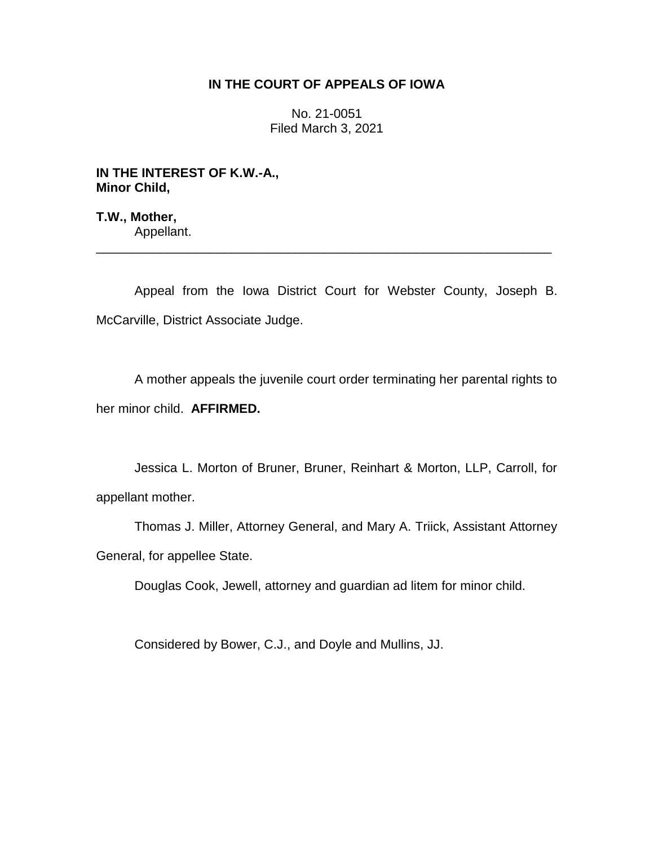## **IN THE COURT OF APPEALS OF IOWA**

No. 21-0051 Filed March 3, 2021

## **IN THE INTEREST OF K.W.-A., Minor Child,**

**T.W., Mother,** Appellant.

Appeal from the Iowa District Court for Webster County, Joseph B. McCarville, District Associate Judge.

\_\_\_\_\_\_\_\_\_\_\_\_\_\_\_\_\_\_\_\_\_\_\_\_\_\_\_\_\_\_\_\_\_\_\_\_\_\_\_\_\_\_\_\_\_\_\_\_\_\_\_\_\_\_\_\_\_\_\_\_\_\_\_\_

A mother appeals the juvenile court order terminating her parental rights to her minor child. **AFFIRMED.**

Jessica L. Morton of Bruner, Bruner, Reinhart & Morton, LLP, Carroll, for appellant mother.

Thomas J. Miller, Attorney General, and Mary A. Triick, Assistant Attorney General, for appellee State.

Douglas Cook, Jewell, attorney and guardian ad litem for minor child.

Considered by Bower, C.J., and Doyle and Mullins, JJ.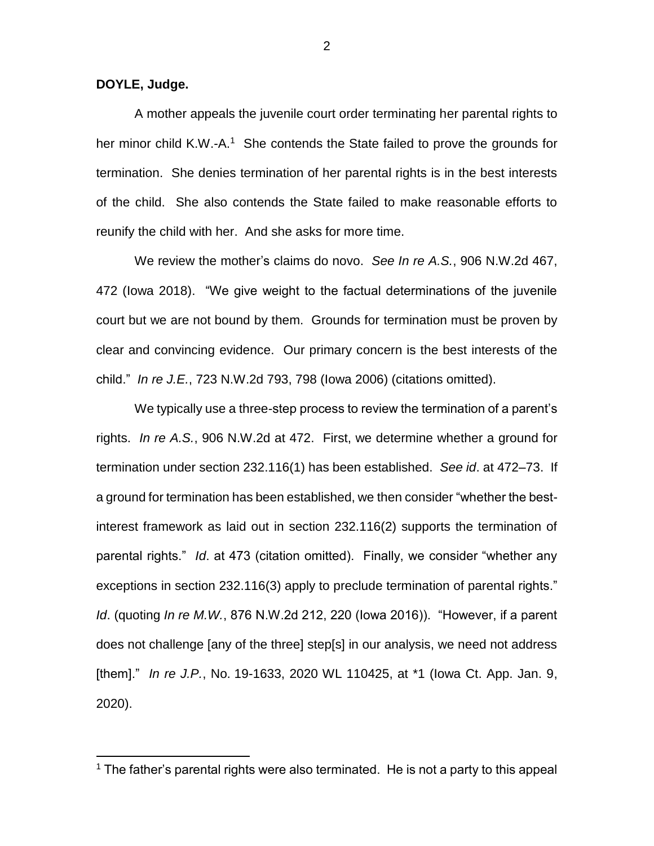**DOYLE, Judge.**

 $\overline{a}$ 

A mother appeals the juvenile court order terminating her parental rights to her minor child K.W.-A.<sup>1</sup> She contends the State failed to prove the grounds for termination. She denies termination of her parental rights is in the best interests of the child. She also contends the State failed to make reasonable efforts to reunify the child with her. And she asks for more time.

We review the mother's claims do novo. *See In re A.S.*, 906 N.W.2d 467, 472 (Iowa 2018). "We give weight to the factual determinations of the juvenile court but we are not bound by them. Grounds for termination must be proven by clear and convincing evidence. Our primary concern is the best interests of the child." *In re J.E.*, 723 N.W.2d 793, 798 (Iowa 2006) (citations omitted).

We typically use a three-step process to review the termination of a parent's rights. *In re A.S.*, 906 N.W.2d at 472. First, we determine whether a ground for termination under section 232.116(1) has been established. *See id*. at 472–73. If a ground for termination has been established, we then consider "whether the bestinterest framework as laid out in section 232.116(2) supports the termination of parental rights." *Id*. at 473 (citation omitted). Finally, we consider "whether any exceptions in section 232.116(3) apply to preclude termination of parental rights." *Id*. (quoting *In re M.W.*, 876 N.W.2d 212, 220 (Iowa 2016)). "However, if a parent does not challenge [any of the three] step[s] in our analysis, we need not address [them]." *In re J.P.*, No. 19-1633, 2020 WL 110425, at \*1 (Iowa Ct. App. Jan. 9, 2020).

<sup>&</sup>lt;sup>1</sup> The father's parental rights were also terminated. He is not a party to this appeal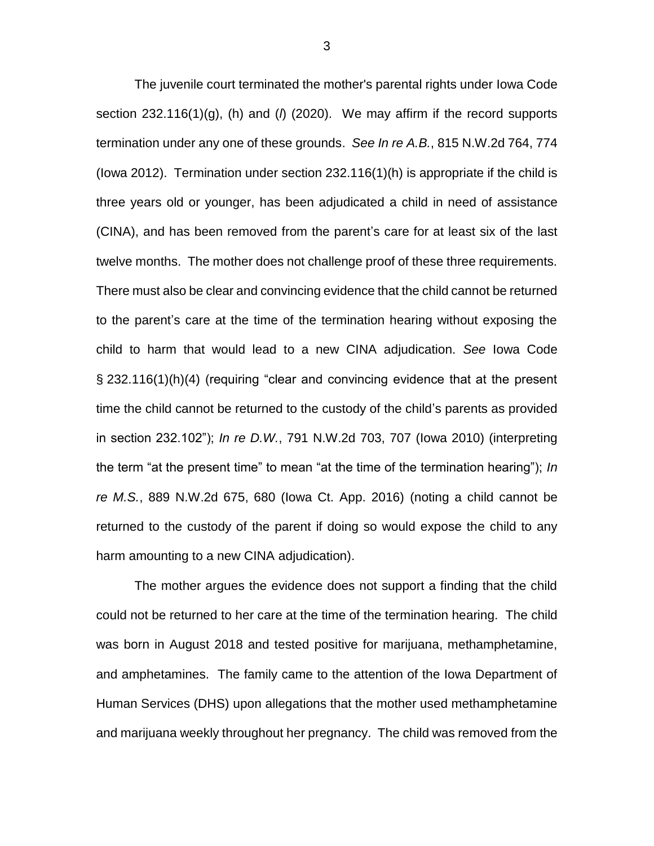The juvenile court terminated the mother's parental rights under Iowa Code section 232.116(1)(g), (h) and (*l*) (2020). We may affirm if the record supports termination under any one of these grounds. *See In re A.B.*, 815 N.W.2d 764, 774 (Iowa 2012). Termination under section 232.116(1)(h) is appropriate if the child is three years old or younger, has been adjudicated a child in need of assistance (CINA), and has been removed from the parent's care for at least six of the last twelve months. The mother does not challenge proof of these three requirements. There must also be clear and convincing evidence that the child cannot be returned to the parent's care at the time of the termination hearing without exposing the child to harm that would lead to a new CINA adjudication. *See* Iowa Code § 232.116(1)(h)(4) (requiring "clear and convincing evidence that at the present time the child cannot be returned to the custody of the child's parents as provided in section 232.102"); *In re D.W.*, 791 N.W.2d 703, 707 (Iowa 2010) (interpreting the term "at the present time" to mean "at the time of the termination hearing"); *In re M.S.*, 889 N.W.2d 675, 680 (Iowa Ct. App. 2016) (noting a child cannot be returned to the custody of the parent if doing so would expose the child to any harm amounting to a new CINA adjudication).

The mother argues the evidence does not support a finding that the child could not be returned to her care at the time of the termination hearing. The child was born in August 2018 and tested positive for marijuana, methamphetamine, and amphetamines. The family came to the attention of the Iowa Department of Human Services (DHS) upon allegations that the mother used methamphetamine and marijuana weekly throughout her pregnancy. The child was removed from the

3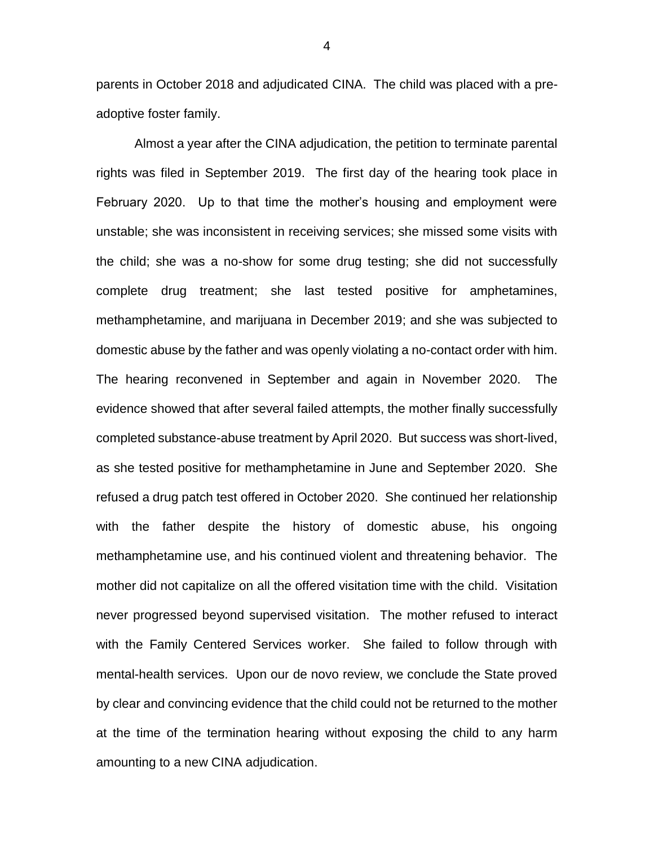parents in October 2018 and adjudicated CINA. The child was placed with a preadoptive foster family.

Almost a year after the CINA adjudication, the petition to terminate parental rights was filed in September 2019. The first day of the hearing took place in February 2020. Up to that time the mother's housing and employment were unstable; she was inconsistent in receiving services; she missed some visits with the child; she was a no-show for some drug testing; she did not successfully complete drug treatment; she last tested positive for amphetamines, methamphetamine, and marijuana in December 2019; and she was subjected to domestic abuse by the father and was openly violating a no-contact order with him. The hearing reconvened in September and again in November 2020. The evidence showed that after several failed attempts, the mother finally successfully completed substance-abuse treatment by April 2020. But success was short-lived, as she tested positive for methamphetamine in June and September 2020. She refused a drug patch test offered in October 2020. She continued her relationship with the father despite the history of domestic abuse, his ongoing methamphetamine use, and his continued violent and threatening behavior. The mother did not capitalize on all the offered visitation time with the child. Visitation never progressed beyond supervised visitation. The mother refused to interact with the Family Centered Services worker. She failed to follow through with mental-health services. Upon our de novo review, we conclude the State proved by clear and convincing evidence that the child could not be returned to the mother at the time of the termination hearing without exposing the child to any harm amounting to a new CINA adjudication.

4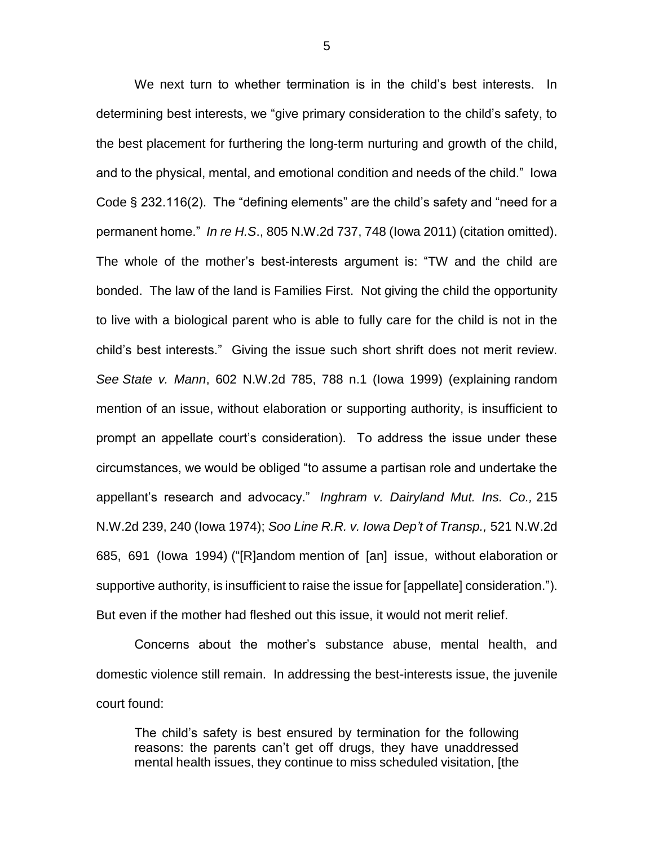We next turn to whether termination is in the child's best interests. In determining best interests, we "give primary consideration to the child's safety, to the best placement for furthering the long-term nurturing and growth of the child, and to the physical, mental, and emotional condition and needs of the child." Iowa Code § 232.116(2). The "defining elements" are the child's safety and "need for a permanent home." *In re H.S*., 805 N.W.2d 737, 748 (Iowa 2011) (citation omitted). The whole of the mother's best-interests argument is: "TW and the child are bonded. The law of the land is Families First. Not giving the child the opportunity to live with a biological parent who is able to fully care for the child is not in the child's best interests." Giving the issue such short shrift does not merit review. *See State v. Mann*, 602 N.W.2d 785, 788 n.1 (Iowa 1999) (explaining random mention of an issue, without elaboration or supporting authority, is insufficient to prompt an appellate court's consideration). To address the issue under these circumstances, we would be obliged "to assume a partisan role and undertake the appellant's research and advocacy." *Inghram v. Dairyland Mut. Ins. Co.,* 215 N.W.2d 239, 240 (Iowa 1974); *Soo Line R.R. v. Iowa Dep't of Transp.,* 521 N.W.2d 685, 691 (Iowa 1994) ("[R]andom mention of [an] issue, without elaboration or supportive authority, is insufficient to raise the issue for [appellate] consideration."). But even if the mother had fleshed out this issue, it would not merit relief.

Concerns about the mother's substance abuse, mental health, and domestic violence still remain. In addressing the best-interests issue, the juvenile court found:

The child's safety is best ensured by termination for the following reasons: the parents can't get off drugs, they have unaddressed mental health issues, they continue to miss scheduled visitation, [the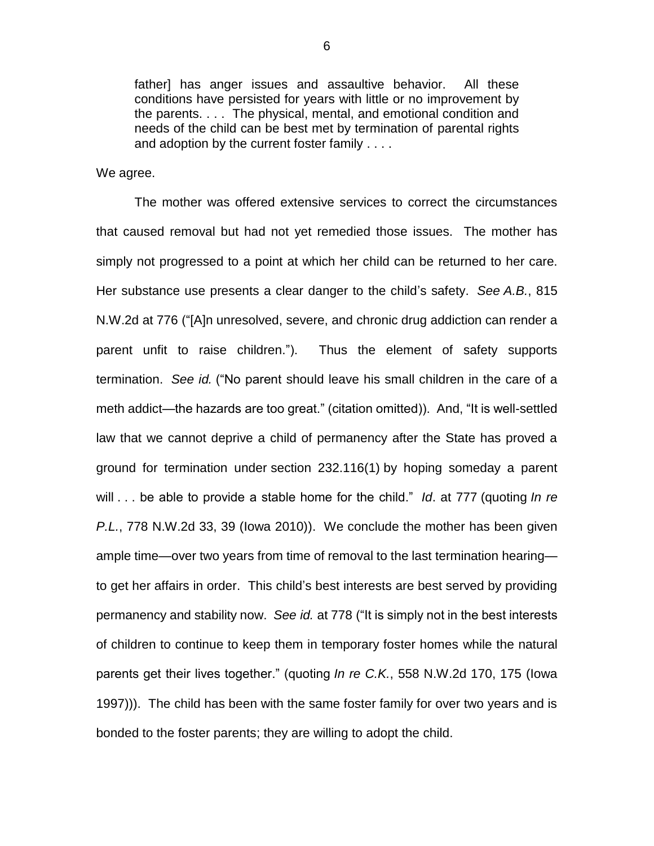father] has anger issues and assaultive behavior. All these conditions have persisted for years with little or no improvement by the parents. . . . The physical, mental, and emotional condition and needs of the child can be best met by termination of parental rights and adoption by the current foster family . . . .

We agree.

The mother was offered extensive services to correct the circumstances that caused removal but had not yet remedied those issues. The mother has simply not progressed to a point at which her child can be returned to her care. Her substance use presents a clear danger to the child's safety. *See A.B.*, 815 N.W.2d at 776 ("[A]n unresolved, severe, and chronic drug addiction can render a parent unfit to raise children."). Thus the element of safety supports termination. *See id.* ("No parent should leave his small children in the care of a meth addict—the hazards are too great." (citation omitted)). And, "It is well-settled law that we cannot deprive a child of permanency after the State has proved a ground for termination under section 232.116(1) by hoping someday a parent will . . . be able to provide a stable home for the child." *Id*. at 777 (quoting *In re P.L.*, 778 N.W.2d 33, 39 (Iowa 2010)). We conclude the mother has been given ample time—over two years from time of removal to the last termination hearing to get her affairs in order. This child's best interests are best served by providing permanency and stability now. *See id.* at 778 ("It is simply not in the best interests of children to continue to keep them in temporary foster homes while the natural parents get their lives together." (quoting *In re C.K.*, 558 N.W.2d 170, 175 (Iowa 1997))). The child has been with the same foster family for over two years and is bonded to the foster parents; they are willing to adopt the child.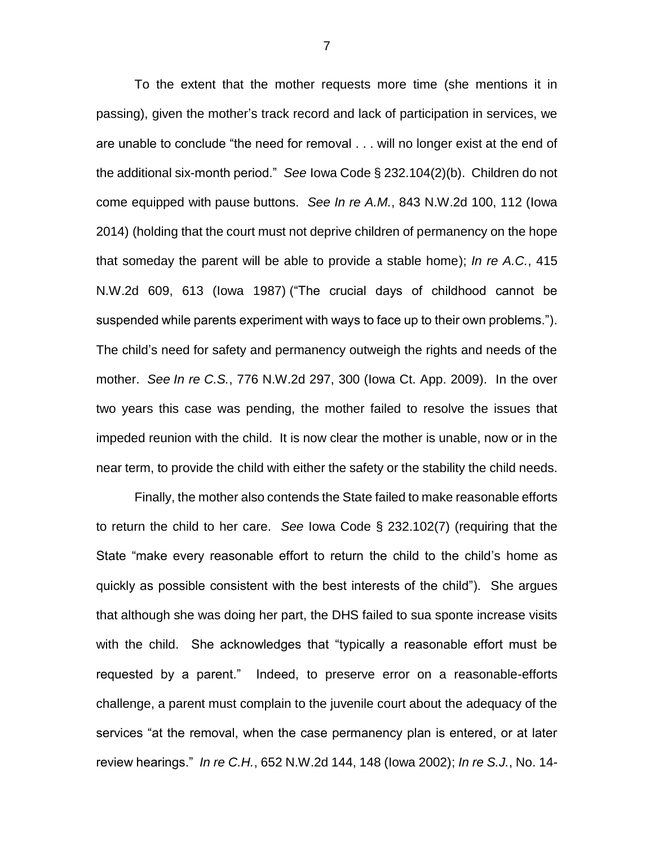To the extent that the mother requests more time (she mentions it in passing), given the mother's track record and lack of participation in services, we are unable to conclude "the need for removal . . . will no longer exist at the end of the additional six-month period." *See* Iowa Code § 232.104(2)(b). Children do not come equipped with pause buttons. *See In re A.M.*, 843 N.W.2d 100, 112 (Iowa 2014) (holding that the court must not deprive children of permanency on the hope that someday the parent will be able to provide a stable home); *In re A.C.*, 415 N.W.2d 609, 613 (Iowa 1987) ("The crucial days of childhood cannot be suspended while parents experiment with ways to face up to their own problems."). The child's need for safety and permanency outweigh the rights and needs of the mother. *See In re C.S.*, 776 N.W.2d 297, 300 (Iowa Ct. App. 2009). In the over two years this case was pending, the mother failed to resolve the issues that impeded reunion with the child. It is now clear the mother is unable, now or in the near term, to provide the child with either the safety or the stability the child needs.

Finally, the mother also contends the State failed to make reasonable efforts to return the child to her care. *See* Iowa Code § 232.102(7) (requiring that the State "make every reasonable effort to return the child to the child's home as quickly as possible consistent with the best interests of the child"). She argues that although she was doing her part, the DHS failed to sua sponte increase visits with the child. She acknowledges that "typically a reasonable effort must be requested by a parent." Indeed, to preserve error on a reasonable-efforts challenge, a parent must complain to the juvenile court about the adequacy of the services "at the removal, when the case permanency plan is entered, or at later review hearings." *In re C.H.*, 652 N.W.2d 144, 148 (Iowa 2002); *In re S.J.*, No. 14-